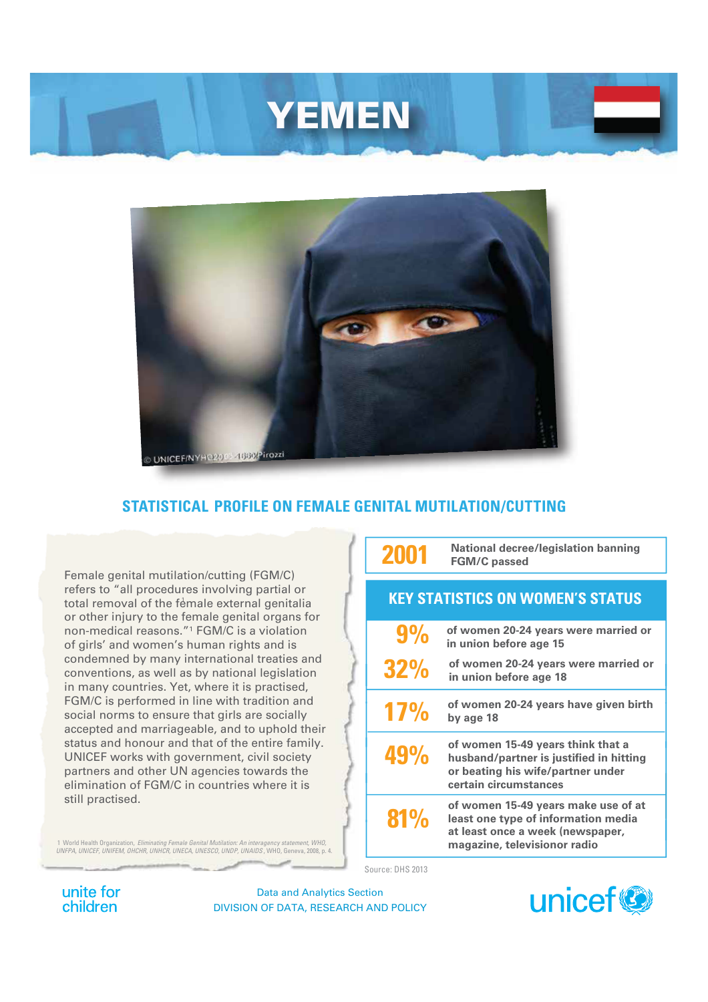# YEMEN



## **STATISTICAL PROFILE ON FEMALE GENITAL MUTILATION/CUTTING**

Female genital mutilation/cutting (FGM/C) refers to "all procedures involving partial or total removal of the female external genitalia or other injury to the female genital organs for non-medical reasons."1 FGM/C is a violation of girls' and women's human rights and is condemned by many international treaties and conventions, as well as by national legislation in many countries. Yet, where it is practised, FGM/C is performed in line with tradition and social norms to ensure that girls are socially accepted and marriageable, and to uphold their status and honour and that of the entire family. UNICEF works with government, civil society partners and other UN agencies towards the elimination of FGM/C in countries where it is still practised.

1 World Health Organization, *Eliminating Female Genital Mutilation: An interagency statement, WHO, UNFPA, UNICEF, UNIFEM, OHCHR, UNHCR, UNECA, UNESCO, UNDP, UNAIDS* , WHO, Geneva, 2008, p. 4.

**2001 National decree/legislation banning FGM/C passed**

<sup>1</sup> **KEY STATISTICS ON WOMEN'S STATUS**

| $9\%$      | of women 20-24 years were married or<br>in union before age 15                                                                                 |
|------------|------------------------------------------------------------------------------------------------------------------------------------------------|
| <b>32%</b> | of women 20-24 years were married or<br>in union before age 18                                                                                 |
| 17%        | of women 20-24 years have given birth<br>by age 18                                                                                             |
| 49%        | of women 15-49 years think that a<br>husband/partner is justified in hitting<br>or beating his wife/partner under<br>certain circumstances     |
| 81%        | of women 15-49 years make use of at<br>least one type of information media<br>at least once a week (newspaper,<br>magazine, televisionor radio |

Source: DHS 2013

unite for children

Data and Analytics Section DIVISION OF DATA, RESEARCH AND POLICY

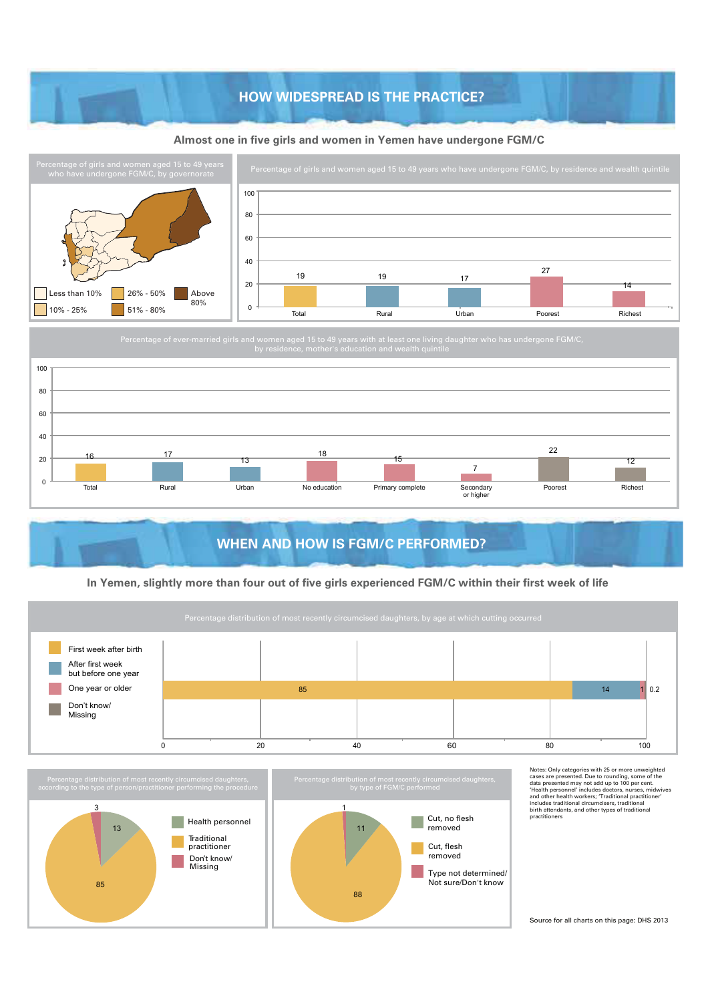## **HOW WIDESPREAD IS THE PRACTICE? HOW WIDESPREAD IS THE PRACTICE?**

#### **Almost one in five girls and women in Yemen have undergone FGM/C**





## **WHEN AND HOW IS FGM/C PERFORMED?**

#### **In Yemen, slightly more than four out of five girls experienced FGM/C within their first week of life**

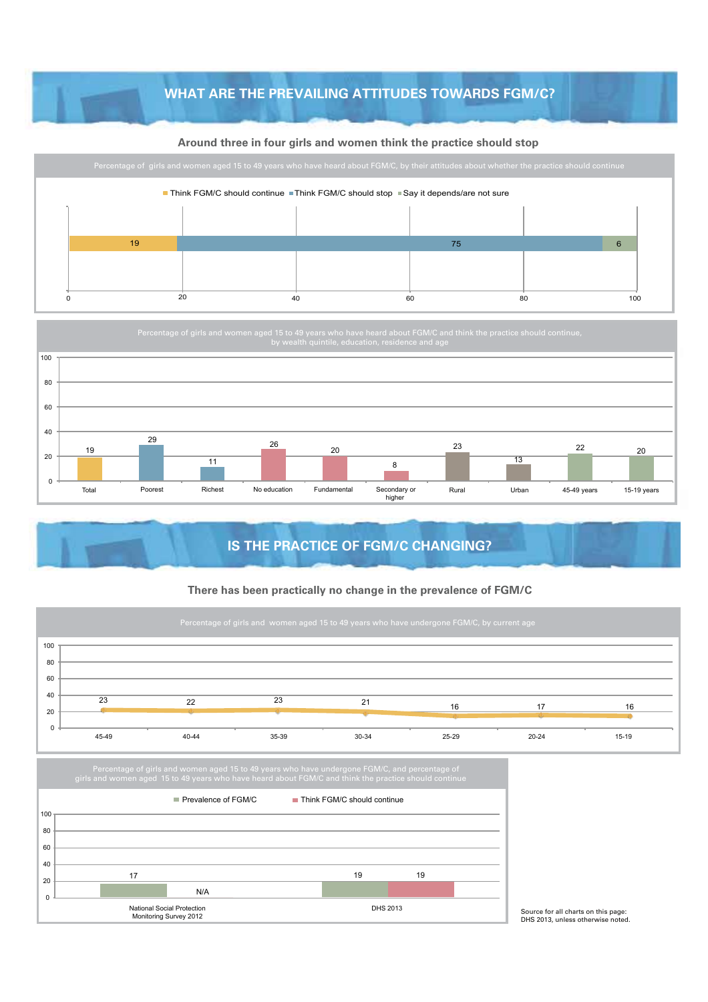## **WHAT ARE THE PREVAILING ATTITUDES TOWARDS FGM/C?**

#### **Around three in four girls and women think the practice should stop**





## **IS THE PRACTICE OF FGM/C CHANGING?**

#### **There has been practically no change in the prevalence of FGM/C**





Source for all charts on this page: DHS 2013, unless otherwise noted.